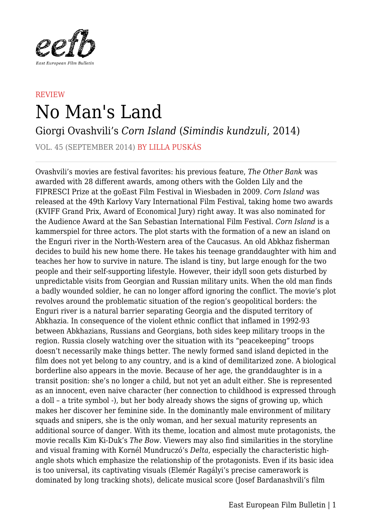

## **REVIEW** No Man's Land

## Giorgi Ovashvili's *Corn Island* (*Simindis kundzuli*, 2014)

VOL. 45 (SEPTEMBER 2014) BY LILLA PUSKÁS

Ovashvili's movies are festival favorites: his previous feature, *The Other Bank* was awarded with 28 different awards, among others with the Golden Lily and the FIPRESCI Prize at the goEast Film Festival in Wiesbaden in 2009. *Corn Island* was released at the 49th Karlovy Vary International Film Festival, taking home two awards (KVIFF Grand Prix, Award of Economical Jury) right away. It was also nominated for the Audience Award at the San Sebastian International Film Festival. *Corn Island* is a kammerspiel for three actors. The plot starts with the formation of a new an island on the Enguri river in the North-Western area of the Caucasus. An old Abkhaz fisherman decides to build his new home there. He takes his teenage granddaughter with him and teaches her how to survive in nature. The island is tiny, but large enough for the two people and their self-supporting lifestyle. However, their idyll soon gets disturbed by unpredictable visits from Georgian and Russian military units. When the old man finds a badly wounded soldier, he can no longer afford ignoring the conflict. The movie's plot revolves around the problematic situation of the region's geopolitical borders: the Enguri river is a natural barrier separating Georgia and the disputed territory of Abkhazia. In consequence of the violent ethnic conflict that inflamed in 1992-93 between Abkhazians, Russians and Georgians, both sides keep military troops in the region. Russia closely watching over the situation with its "peacekeeping" troops doesn't necessarily make things better. The newly formed sand island depicted in the film does not yet belong to any country, and is a kind of demilitarized zone. A biological borderline also appears in the movie. Because of her age, the granddaughter is in a transit position: she's no longer a child, but not yet an adult either. She is represented as an innocent, even naive character (her connection to childhood is expressed through a doll – a trite symbol -), but her body already shows the signs of growing up, which makes her discover her feminine side. In the dominantly male environment of military squads and snipers, she is the only woman, and her sexual maturity represents an additional source of danger. With its theme, location and almost mute protagonists, the movie recalls Kim Ki-Duk's *The Bow*. Viewers may also find similarities in the storyline and visual framing with Kornél Mundruczó's *Delta*, especially the characteristic highangle shots which emphasize the relationship of the protagonists. Even if its basic idea is too universal, its captivating visuals (Elemér Ragályi's precise camerawork is dominated by long tracking shots), delicate musical score (Josef Bardanashvili's film